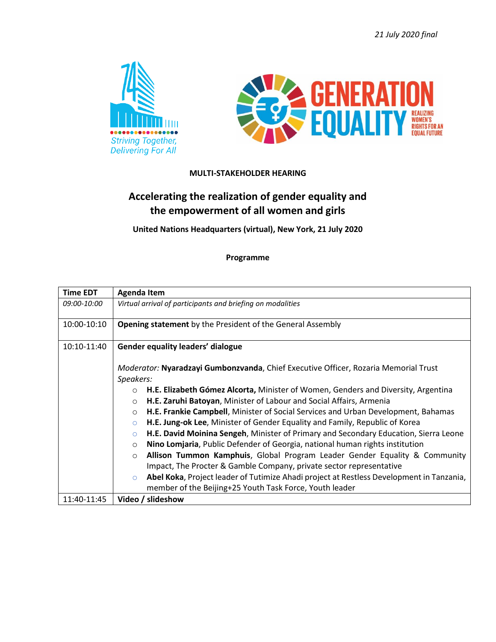*21 July 2020 final*





## **MULTI-STAKEHOLDER HEARING**

## **Accelerating the realization of gender equality and the empowerment of all women and girls**

**United Nations Headquarters (virtual), New York, 21 July 2020**

**Programme**

| <b>Time EDT</b> | <b>Agenda Item</b>                                                                                  |
|-----------------|-----------------------------------------------------------------------------------------------------|
| 09:00-10:00     | Virtual arrival of participants and briefing on modalities                                          |
| 10:00-10:10     | <b>Opening statement</b> by the President of the General Assembly                                   |
| 10:10-11:40     | <b>Gender equality leaders' dialogue</b>                                                            |
|                 | Moderator: Nyaradzayi Gumbonzvanda, Chief Executive Officer, Rozaria Memorial Trust                 |
|                 | Speakers:                                                                                           |
|                 | H.E. Elizabeth Gómez Alcorta, Minister of Women, Genders and Diversity, Argentina<br>$\circ$        |
|                 | H.E. Zaruhi Batoyan, Minister of Labour and Social Affairs, Armenia<br>$\circ$                      |
|                 | H.E. Frankie Campbell, Minister of Social Services and Urban Development, Bahamas<br>$\circ$        |
|                 | H.E. Jung-ok Lee, Minister of Gender Equality and Family, Republic of Korea<br>$\circ$              |
|                 | H.E. David Moinina Sengeh, Minister of Primary and Secondary Education, Sierra Leone<br>$\circ$     |
|                 | Nino Lomjaria, Public Defender of Georgia, national human rights institution<br>$\circ$             |
|                 | Allison Tummon Kamphuis, Global Program Leader Gender Equality & Community<br>$\circ$               |
|                 | Impact, The Procter & Gamble Company, private sector representative                                 |
|                 | Abel Koka, Project leader of Tutimize Ahadi project at Restless Development in Tanzania,<br>$\circ$ |
|                 | member of the Beijing+25 Youth Task Force, Youth leader                                             |
| 11:40-11:45     | Video / slideshow                                                                                   |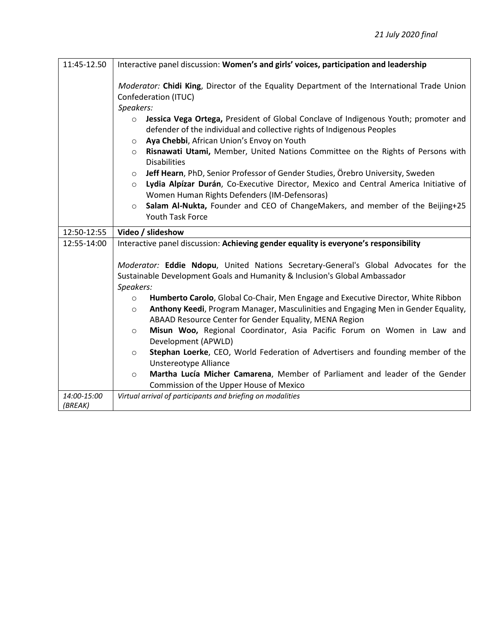| 11:45-12.50            | Interactive panel discussion: Women's and girls' voices, participation and leadership                                                                                                                                                                                                                                                                                                                                                                               |
|------------------------|---------------------------------------------------------------------------------------------------------------------------------------------------------------------------------------------------------------------------------------------------------------------------------------------------------------------------------------------------------------------------------------------------------------------------------------------------------------------|
|                        | Moderator: Chidi King, Director of the Equality Department of the International Trade Union<br>Confederation (ITUC)<br>Speakers:<br>Jessica Vega Ortega, President of Global Conclave of Indigenous Youth; promoter and<br>$\circ$<br>defender of the individual and collective rights of Indigenous Peoples<br>Aya Chebbi, African Union's Envoy on Youth<br>$\circ$<br>Risnawati Utami, Member, United Nations Committee on the Rights of Persons with<br>$\circ$ |
|                        | <b>Disabilities</b><br>Jeff Hearn, PhD, Senior Professor of Gender Studies, Örebro University, Sweden<br>$\circ$<br>Lydia Alpízar Durán, Co-Executive Director, Mexico and Central America Initiative of<br>$\circ$<br>Women Human Rights Defenders (IM-Defensoras)<br>Salam Al-Nukta, Founder and CEO of ChangeMakers, and member of the Beijing+25<br>$\circ$<br>Youth Task Force                                                                                 |
| 12:50-12:55            | Video / slideshow                                                                                                                                                                                                                                                                                                                                                                                                                                                   |
| 12:55-14:00            | Interactive panel discussion: Achieving gender equality is everyone's responsibility                                                                                                                                                                                                                                                                                                                                                                                |
|                        | Moderator: Eddie Ndopu, United Nations Secretary-General's Global Advocates for the<br>Sustainable Development Goals and Humanity & Inclusion's Global Ambassador<br>Speakers:<br>Humberto Carolo, Global Co-Chair, Men Engage and Executive Director, White Ribbon<br>$\circ$                                                                                                                                                                                      |
|                        | Anthony Keedi, Program Manager, Masculinities and Engaging Men in Gender Equality,<br>$\circ$<br>ABAAD Resource Center for Gender Equality, MENA Region                                                                                                                                                                                                                                                                                                             |
|                        | Misun Woo, Regional Coordinator, Asia Pacific Forum on Women in Law and<br>$\circ$<br>Development (APWLD)                                                                                                                                                                                                                                                                                                                                                           |
|                        | Stephan Loerke, CEO, World Federation of Advertisers and founding member of the<br>$\circ$<br>Unstereotype Alliance                                                                                                                                                                                                                                                                                                                                                 |
|                        | Martha Lucía Micher Camarena, Member of Parliament and leader of the Gender<br>$\circ$<br>Commission of the Upper House of Mexico                                                                                                                                                                                                                                                                                                                                   |
| 14:00-15:00<br>(BREAK) | Virtual arrival of participants and briefing on modalities                                                                                                                                                                                                                                                                                                                                                                                                          |